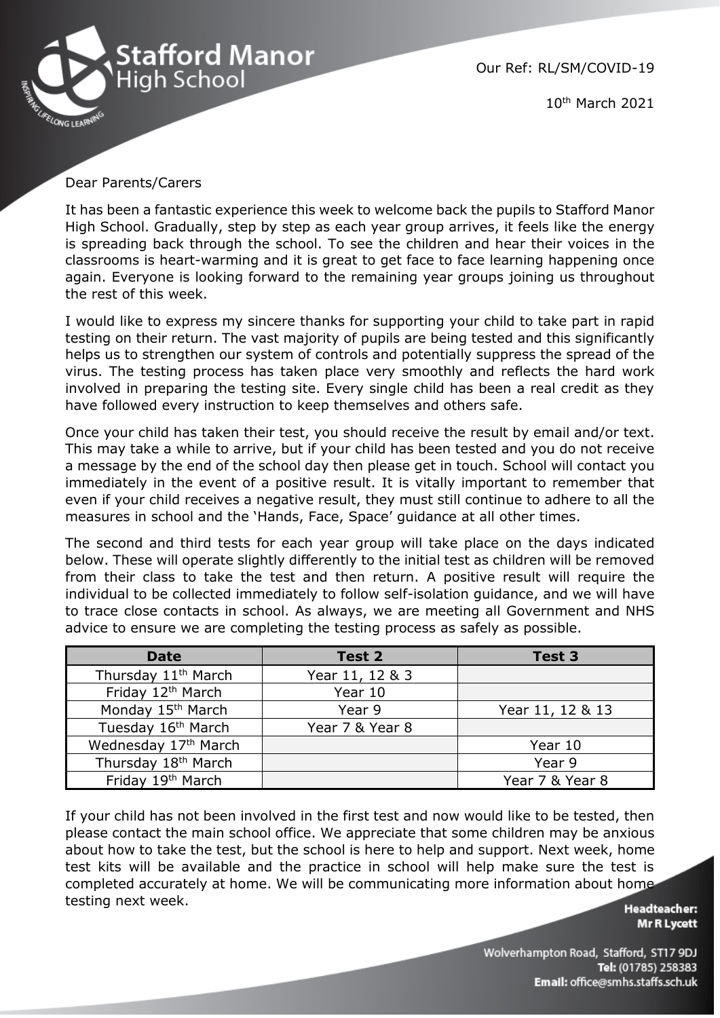

Our Ref: RL/SM/COVID-19

10th March 2021

## Dear Parents/Carers

It has been a fantastic experience this week to welcome back the pupils to Stafford Manor High School. Gradually, step by step as each year group arrives, it feels like the energy is spreading back through the school. To see the children and hear their voices in the classrooms is heart-warming and it is great to get face to face learning happening once again. Everyone is looking forward to the remaining year groups joining us throughout the rest of this week.

I would like to express my sincere thanks for supporting your child to take part in rapid testing on their return. The vast majority of pupils are being tested and this significantly helps us to strengthen our system of controls and potentially suppress the spread of the virus. The testing process has taken place very smoothly and reflects the hard work involved in preparing the testing site. Every single child has been a real credit as they have followed every instruction to keep themselves and others safe.

Once your child has taken their test, you should receive the result by email and/or text. This may take a while to arrive, but if your child has been tested and you do not receive a message by the end of the school day then please get in touch. School will contact you immediately in the event of a positive result. It is vitally important to remember that even if your child receives a negative result, they must still continue to adhere to all the measures in school and the 'Hands, Face, Space' guidance at all other times.

The second and third tests for each year group will take place on the days indicated below. These will operate slightly differently to the initial test as children will be removed from their class to take the test and then return. A positive result will require the individual to be collected immediately to follow self-isolation guidance, and we will have to trace close contacts in school. As always, we are meeting all Government and NHS advice to ensure we are completing the testing process as safely as possible.

| <b>Date</b>                     | Test 2          | <b>Test 3</b>    |
|---------------------------------|-----------------|------------------|
| Thursday 11 <sup>th</sup> March | Year 11, 12 & 3 |                  |
| Friday 12th March               | Year 10         |                  |
| Monday 15 <sup>th</sup> March   | Year 9          | Year 11, 12 & 13 |
| Tuesday 16 <sup>th</sup> March  | Year 7 & Year 8 |                  |
| Wednesday 17th March            |                 | Year 10          |
| Thursday 18 <sup>th</sup> March |                 | Year 9           |
| Friday 19th March               |                 | Year 7 & Year 8  |

If your child has not been involved in the first test and now would like to be tested, then please contact the main school office. We appreciate that some children may be anxious about how to take the test, but the school is here to help and support. Next week, home test kits will be available and the practice in school will help make sure the test is completed accurately at home. We will be communicating more information about home testing next week.

**Headteacher: Mr R Lycett** 

Wolverhampton Road, Stafford, ST17 9DJ Tel: (01785) 258383 Email: office@smhs.staffs.sch.uk